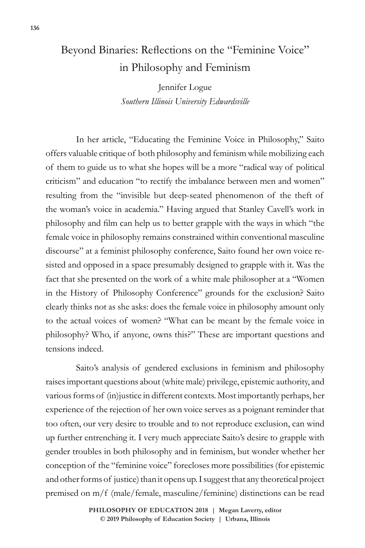## Beyond Binaries: Reflections on the "Feminine Voice" in Philosophy and Feminism

Jennifer Logue *Southern Illinois University Edwardsville*

In her article, "Educating the Feminine Voice in Philosophy," Saito offers valuable critique of both philosophy and feminism while mobilizing each of them to guide us to what she hopes will be a more "radical way of political criticism" and education "to rectify the imbalance between men and women" resulting from the "invisible but deep-seated phenomenon of the theft of the woman's voice in academia." Having argued that Stanley Cavell's work in philosophy and film can help us to better grapple with the ways in which "the female voice in philosophy remains constrained within conventional masculine discourse" at a feminist philosophy conference, Saito found her own voice resisted and opposed in a space presumably designed to grapple with it. Was the fact that she presented on the work of a white male philosopher at a "Women in the History of Philosophy Conference" grounds for the exclusion? Saito clearly thinks not as she asks: does the female voice in philosophy amount only to the actual voices of women? "What can be meant by the female voice in philosophy? Who, if anyone, owns this?" These are important questions and tensions indeed.

Saito's analysis of gendered exclusions in feminism and philosophy raises important questions about (white male) privilege, epistemic authority, and various forms of (in)justice in different contexts. Most importantly perhaps, her experience of the rejection of her own voice serves as a poignant reminder that too often, our very desire to trouble and to not reproduce exclusion, can wind up further entrenching it. I very much appreciate Saito's desire to grapple with gender troubles in both philosophy and in feminism, but wonder whether her conception of the "feminine voice" forecloses more possibilities (for epistemic and other forms of justice) than it opens up. I suggest that any theoretical project premised on m/f (male/female, masculine/feminine) distinctions can be read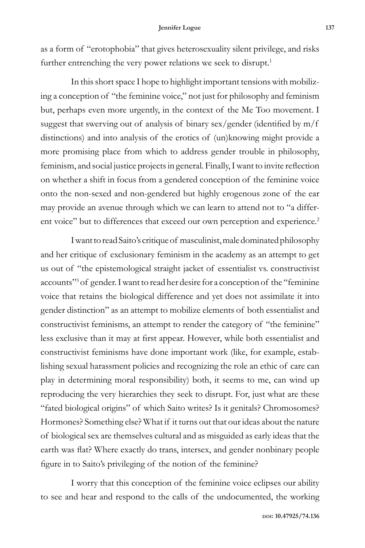as a form of "erotophobia" that gives heterosexuality silent privilege, and risks further entrenching the very power relations we seek to disrupt.<sup>1</sup>

In this short space I hope to highlight important tensions with mobilizing a conception of "the feminine voice," not just for philosophy and feminism but, perhaps even more urgently, in the context of the Me Too movement. I suggest that swerving out of analysis of binary sex/gender (identified by m/f distinctions) and into analysis of the erotics of (un)knowing might provide a more promising place from which to address gender trouble in philosophy, feminism, and social justice projects in general. Finally, I want to invite reflection on whether a shift in focus from a gendered conception of the feminine voice onto the non-sexed and non-gendered but highly erogenous zone of the ear may provide an avenue through which we can learn to attend not to "a different voice" but to differences that exceed our own perception and experience.<sup>2</sup>

I want to read Saito's critique of masculinist, male dominated philosophy and her critique of exclusionary feminism in the academy as an attempt to get us out of "the epistemological straight jacket of essentialist vs. constructivist accounts"<sup>3</sup> of gender. I want to read her desire for a conception of the "feminine voice that retains the biological difference and yet does not assimilate it into gender distinction" as an attempt to mobilize elements of both essentialist and constructivist feminisms, an attempt to render the category of "the feminine" less exclusive than it may at first appear. However, while both essentialist and constructivist feminisms have done important work (like, for example, establishing sexual harassment policies and recognizing the role an ethic of care can play in determining moral responsibility) both, it seems to me, can wind up reproducing the very hierarchies they seek to disrupt. For, just what are these "fated biological origins" of which Saito writes? Is it genitals? Chromosomes? Hormones? Something else? What if it turns out that our ideas about the nature of biological sex are themselves cultural and as misguided as early ideas that the earth was flat? Where exactly do trans, intersex, and gender nonbinary people figure in to Saito's privileging of the notion of the feminine?

I worry that this conception of the feminine voice eclipses our ability to see and hear and respond to the calls of the undocumented, the working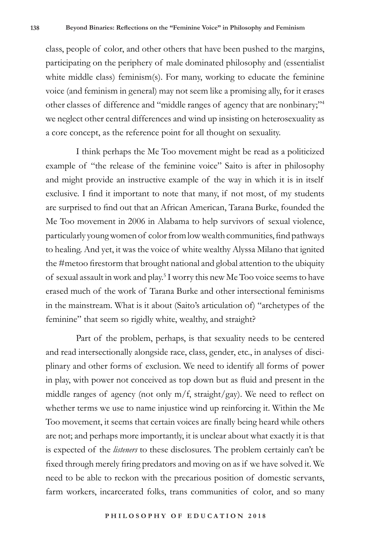class, people of color, and other others that have been pushed to the margins, participating on the periphery of male dominated philosophy and (essentialist white middle class) feminism(s). For many, working to educate the feminine voice (and feminism in general) may not seem like a promising ally, for it erases other classes of difference and "middle ranges of agency that are nonbinary;"<sup>4</sup> we neglect other central differences and wind up insisting on heterosexuality as a core concept, as the reference point for all thought on sexuality.

I think perhaps the Me Too movement might be read as a politicized example of "the release of the feminine voice" Saito is after in philosophy and might provide an instructive example of the way in which it is in itself exclusive. I find it important to note that many, if not most, of my students are surprised to find out that an African American, Tarana Burke, founded the Me Too movement in 2006 in Alabama to help survivors of sexual violence, particularly young women of color from low wealth communities, find pathways to healing. And yet, it was the voice of white wealthy Alyssa Milano that ignited the #metoo firestorm that brought national and global attention to the ubiquity of sexual assault in work and play.<sup>5</sup> I worry this new Me Too voice seems to have erased much of the work of Tarana Burke and other intersectional feminisms in the mainstream. What is it about (Saito's articulation of) "archetypes of the feminine" that seem so rigidly white, wealthy, and straight?

Part of the problem, perhaps, is that sexuality needs to be centered and read intersectionally alongside race, class, gender, etc., in analyses of disciplinary and other forms of exclusion. We need to identify all forms of power in play, with power not conceived as top down but as fluid and present in the middle ranges of agency (not only  $m/f$ , straight/gay). We need to reflect on whether terms we use to name injustice wind up reinforcing it. Within the Me Too movement, it seems that certain voices are finally being heard while others are not; and perhaps more importantly, it is unclear about what exactly it is that is expected of the *listeners* to these disclosures. The problem certainly can't be fixed through merely firing predators and moving on as if we have solved it. We need to be able to reckon with the precarious position of domestic servants, farm workers, incarcerated folks, trans communities of color, and so many